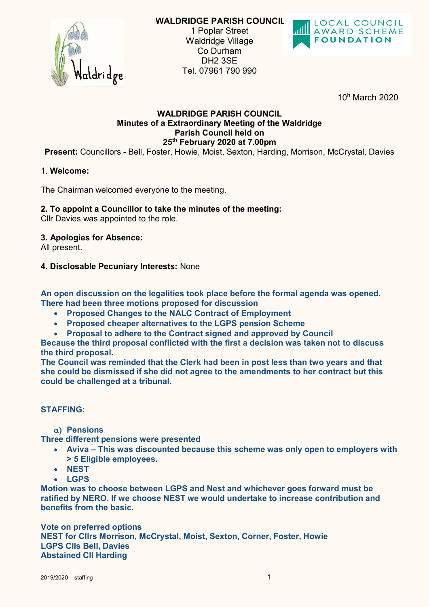

**WALDRIDGE PARISH COUNCIL** 1 Poplar Street Waldridge Village Co Durham DH2 3SE Tel. 07961 790 990



10<sup>h</sup> March 2020

# **WALDRIDGE PARISH COUNCIL Minutes of a Extraordinary Meeting of the Waldridge Parish Council held on 25th February 2020 at 7.00pm**

**Present:** Councillors - Bell, Foster, Howie, Moist, Sexton, Harding, Morrison, McCrystal, Davies

## 1. **Welcome:**

The Chairman welcomed everyone to the meeting.

## **2. To appoint a Councillor to take the minutes of the meeting:**

Cllr Davies was appointed to the role.

#### **3. Apologies for Absence:**

All present.

#### **4. Disclosable Pecuniary Interests:** None

**An open discussion on the legalities took place before the formal agenda was opened. There had been three motions proposed for discussion**

- **Proposed Changes to the NALC Contract of Employment**
- **Proposed cheaper alternatives to the LGPS pension Scheme**
- **Proposal to adhere to the Contract signed and approved by Council**

**Because the third proposal conflicted with the first a decision was taken not to discuss the third proposal.**

**The Council was reminded that the Clerk had been in post less than two years and that she could be dismissed if she did not agree to the amendments to her contract but this could be challenged at a tribunal.**

## **STAFFING:**

**Pensions**

**Three different pensions were presented**

- **Aviva – This was discounted because this scheme was only open to employers with**   $\bullet$ **> 5 Eligible employees.**
- **NEST**
- **LGPS**

**Motion was to choose between LGPS and Nest and whichever goes forward must be ratified by NERO. If we choose NEST we would undertake to increase contribution and benefits from the basic.**

**Vote on preferred options NEST for Cllrs Morrison, McCrystal, Moist, Sexton, Corner, Foster, Howie LGPS Clls Bell, Davies Abstained Cll Harding**